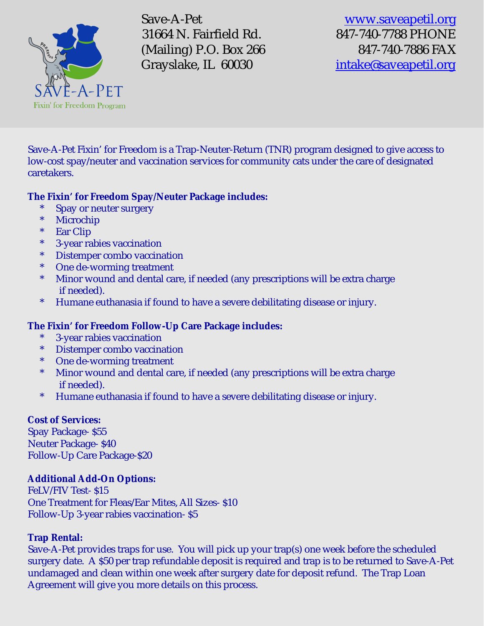

Save-A-Pet [www.saveapetil.org](http://www.saveapetil.org) 31664 N. Fairfield Rd. 847-740-7788 PHONE (Mailing) P.O. Box 266 847-740-7886 FAX Grayslake, IL 60030 [intake@saveapetil.org](mailto:intake@saveapetil.org)

Save-A-Pet Fixin' for Freedom is a Trap-Neuter-Return (TNR) program designed to give access to low-cost spay/neuter and vaccination services for community cats under the care of designated caretakers.

#### **The Fixin' for Freedom Spay/Neuter Package includes:**

- Spay or neuter surgery
- \* Microchip<br>\* Far Clin
- Ear Clip
- \* 3-year rabies vaccination
- \* Distemper combo vaccination
- \* One de-worming treatment
- \* Minor wound and dental care, if needed (any prescriptions will be extra charge if needed).
- \* Humane euthanasia if found to have a severe debilitating disease or injury.

## **The Fixin' for Freedom Follow-Up Care Package includes:**

- \* 3-year rabies vaccination
- \* Distemper combo vaccination
- \* One de-worming treatment
- \* Minor wound and dental care, if needed (any prescriptions will be extra charge if needed).
- \* Humane euthanasia if found to have a severe debilitating disease or injury.

#### **Cost of Services:**

Spay Package- \$55 Neuter Package- \$40 Follow-Up Care Package-\$20

## **Additional Add-On Options:**

FeLV/FIV Test- \$15 One Treatment for Fleas/Ear Mites, All Sizes- \$10 Follow-Up 3-year rabies vaccination- \$5

## **Trap Rental:**

Save-A-Pet provides traps for use. You will pick up your trap(s) one week before the scheduled surgery date. A \$50 per trap refundable deposit is required and trap is to be returned to Save-A-Pet undamaged and clean within one week after surgery date for deposit refund. The Trap Loan Agreement will give you more details on this process.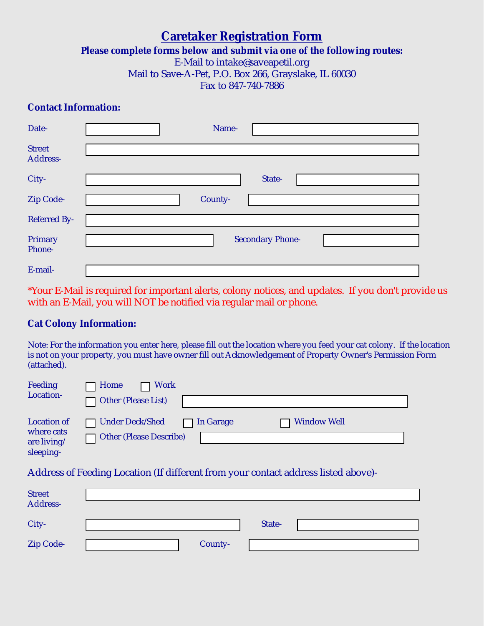## **Caretaker Registration Form**

**Please complete forms below and submit via one of the following routes:** 

E-Mail t[o intake@saveapetil.org](mailto:intake@saveapetil.org)

Mail to Save-A-Pet, P.O. Box 266, Grayslake, IL 60030

Fax to 847-740-7886

#### **Contact Information:**

| Date-                     | Name-                   |
|---------------------------|-------------------------|
| <b>Street</b><br>Address- |                         |
| City-                     | State-                  |
| Zip Code-                 | County-                 |
| <b>Referred By-</b>       |                         |
| Primary<br>Phone-         | <b>Secondary Phone-</b> |
| E-mail-                   |                         |

\*Your E-Mail is required for important alerts, colony notices, and updates. If you don't provide us with an E-Mail, you will NOT be notified via regular mail or phone.

#### **Cat Colony Information:**

Note: For the information you enter here, please fill out the location where you feed your cat colony. If the location is not on your property, you must have owner fill out Acknowledgement of Property Owner's Permission Form (attached).

| Feeding<br>Location-                                         | Work<br>Home<br>Other (Please List)               |           |                    |
|--------------------------------------------------------------|---------------------------------------------------|-----------|--------------------|
| <b>Location of</b><br>where cats<br>are living/<br>sleeping- | <b>Under Deck/Shed</b><br>Other (Please Describe) | In Garage | <b>Window Well</b> |

Address of Feeding Location (If different from your contact address listed above)-

| Street<br>Address- |         |        |  |
|--------------------|---------|--------|--|
|                    |         |        |  |
| City-              |         | State- |  |
| Zip Code-          | County- |        |  |